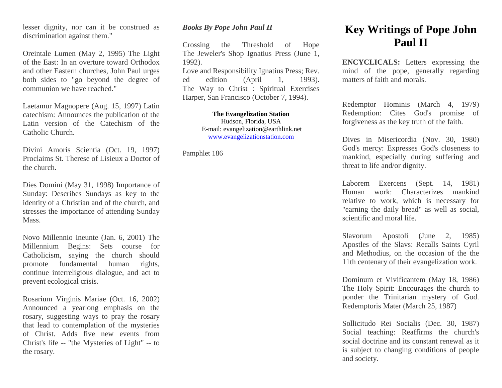lesser dignity, nor can it be construed as discrimination against them."

Oreintale Lumen (May 2, 1995) The Light of the East: In an overture toward Orthodox and other Eastern churches, John Paul urges both sides to "go beyond the degree of communion we have reached."

Laetamur Magnopere (Aug. 15, 1997) Latin catechism: Announces the publication of the Latin version of the Catechism of the Catholic Church.

Divini Amoris Scientia (Oct. 19, 1997) Proclaims St. Therese of Lisieux a Doctor of the church.

Dies Domini (May 31, 1998) Importance of Sunday: Describes Sundays as key to the identity of a Christian and of the church, and stresses the importance of attending Sunday Mass.

Novo Millennio Ineunte (Jan. 6, 2001) The Millennium Begins: Sets course for Catholicism, saying the church should promote fundamental human rights, continue interreligious dialogue, and act to prevent ecological crisis.

Rosarium Virginis Mariae (Oct. 16, 2002) Announced a yearlong emphasis on the rosary, suggesting ways to pray the rosary that lead to contemplation of the mysteries of Christ. Adds five new events from Christ's life -- "the Mysteries of Light" -- to the rosary.

## *Books By Pope John Paul II*

Crossing the Threshold of Hope The Jeweler's Shop Ignatius Press (June 1, 1992).

Love and Responsibility Ignatius Press; Rev. ed edition (April 1, 1993). The Way to Christ : Spiritual Exercises Harper, San Francisco (October 7, 1994).

> **The Evangelization Station** Hudson, Florida, USA E-mail: evangelization@earthlink.net [www.evangelizationstation.com](http://www.pjpiisoe.org/)

Pamphlet 186

## **Key Writings of Pope John Paul II**

**ENCYCLICALS:** Letters expressing the mind of the pope, generally regarding matters of faith and morals.

Redemptor Hominis (March 4, 1979) Redemption: Cites God's promise of forgiveness as the key truth of the faith.

Dives in Misericordia (Nov. 30, 1980) God's mercy: Expresses God's closeness to mankind, especially during suffering and threat to life and/or dignity.

Laborem Exercens (Sept. 14, 1981) Human work: Characterizes mankind relative to work, which is necessary for "earning the daily bread" as well as social, scientific and moral life.

Slavorum Apostoli (June 2, 1985) Apostles of the Slavs: Recalls Saints Cyril and Methodius, on the occasion of the the 11th centenary of their evangelization work.

Dominum et Vivificantem (May 18, 1986) The Holy Spirit: Encourages the church to ponder the Trinitarian mystery of God. Redemptoris Mater (March 25, 1987)

Sollicitudo Rei Socialis (Dec. 30, 1987) Social teaching: Reaffirms the church's social doctrine and its constant renewal as it is subject to changing conditions of people and society.